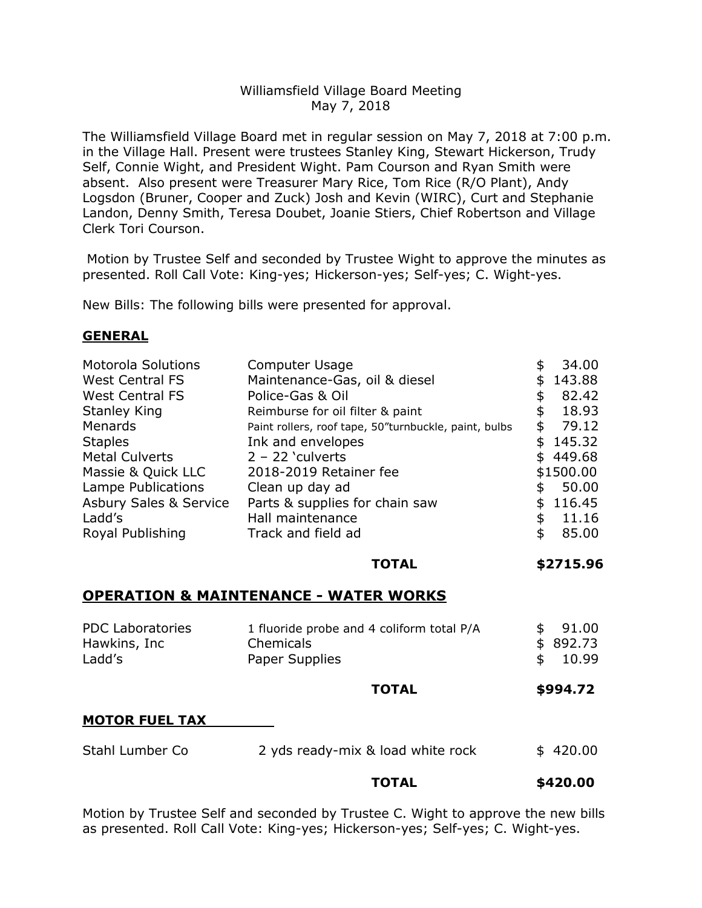## Williamsfield Village Board Meeting May 7, 2018

The Williamsfield Village Board met in regular session on May 7, 2018 at 7:00 p.m. in the Village Hall. Present were trustees Stanley King, Stewart Hickerson, Trudy Self, Connie Wight, and President Wight. Pam Courson and Ryan Smith were absent. Also present were Treasurer Mary Rice, Tom Rice (R/O Plant), Andy Logsdon (Bruner, Cooper and Zuck) Josh and Kevin (WIRC), Curt and Stephanie Landon, Denny Smith, Teresa Doubet, Joanie Stiers, Chief Robertson and Village Clerk Tori Courson.

Motion by Trustee Self and seconded by Trustee Wight to approve the minutes as presented. Roll Call Vote: King-yes; Hickerson-yes; Self-yes; C. Wight-yes.

New Bills: The following bills were presented for approval.

### **GENERAL**

| Maintenance-Gas, oil & diesel<br><b>West Central FS</b><br>\$<br><b>West Central FS</b><br>Police-Gas & Oil<br>\$<br><b>Stanley King</b><br>Reimburse for oil filter & paint<br>\$<br>Menards<br>\$<br>Paint rollers, roof tape, 50"turnbuckle, paint, bulbs<br><b>Staples</b><br>Ink and envelopes<br>\$<br>$2 - 22$ 'culverts<br><b>Metal Culverts</b><br>\$449.68<br>Massie & Quick LLC<br>\$1500.00<br>2018-2019 Retainer fee<br>Lampe Publications<br>Clean up day ad<br>\$<br><b>Asbury Sales &amp; Service</b><br>Parts & supplies for chain saw<br>\$<br>Ladd's<br>Hall maintenance<br>\$<br>Royal Publishing<br>Track and field ad<br>\$ | <b>Motorola Solutions</b> | Computer Usage | \$<br>34.00 |
|---------------------------------------------------------------------------------------------------------------------------------------------------------------------------------------------------------------------------------------------------------------------------------------------------------------------------------------------------------------------------------------------------------------------------------------------------------------------------------------------------------------------------------------------------------------------------------------------------------------------------------------------------|---------------------------|----------------|-------------|
|                                                                                                                                                                                                                                                                                                                                                                                                                                                                                                                                                                                                                                                   |                           |                | 143.88      |
|                                                                                                                                                                                                                                                                                                                                                                                                                                                                                                                                                                                                                                                   |                           |                | 82.42       |
|                                                                                                                                                                                                                                                                                                                                                                                                                                                                                                                                                                                                                                                   |                           |                | 18.93       |
|                                                                                                                                                                                                                                                                                                                                                                                                                                                                                                                                                                                                                                                   |                           |                | 79.12       |
|                                                                                                                                                                                                                                                                                                                                                                                                                                                                                                                                                                                                                                                   |                           |                | 145.32      |
|                                                                                                                                                                                                                                                                                                                                                                                                                                                                                                                                                                                                                                                   |                           |                |             |
|                                                                                                                                                                                                                                                                                                                                                                                                                                                                                                                                                                                                                                                   |                           |                |             |
|                                                                                                                                                                                                                                                                                                                                                                                                                                                                                                                                                                                                                                                   |                           |                | 50.00       |
|                                                                                                                                                                                                                                                                                                                                                                                                                                                                                                                                                                                                                                                   |                           |                | 116.45      |
|                                                                                                                                                                                                                                                                                                                                                                                                                                                                                                                                                                                                                                                   |                           |                | 11.16       |
|                                                                                                                                                                                                                                                                                                                                                                                                                                                                                                                                                                                                                                                   |                           |                | 85.00       |

### **TOTAL \$2715.96**

### **OPERATION & MAINTENANCE - WATER WORKS**

| <b>PDC Laboratories</b> | 1 fluoride probe and 4 coliform total P/A | 91.00    |
|-------------------------|-------------------------------------------|----------|
| Hawkins, Inc            | <b>Chemicals</b>                          | \$892.73 |
| Ladd's                  | Paper Supplies                            | \$10.99  |
|                         |                                           |          |

**TOTAL \$994.72**

#### **MOTOR FUEL TAX**

| Stahl Lumber Co | 2 yds ready-mix & load white rock | \$420.00 |
|-----------------|-----------------------------------|----------|
|-----------------|-----------------------------------|----------|

#### **TOTAL \$420.00**

Motion by Trustee Self and seconded by Trustee C. Wight to approve the new bills as presented. Roll Call Vote: King-yes; Hickerson-yes; Self-yes; C. Wight-yes.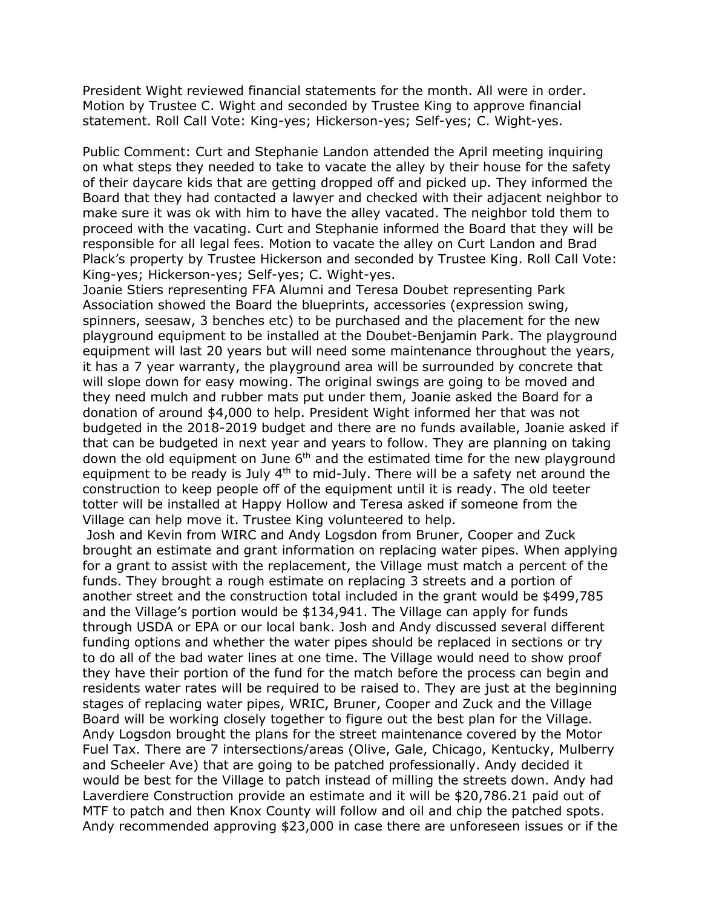President Wight reviewed financial statements for the month. All were in order. Motion by Trustee C. Wight and seconded by Trustee King to approve financial statement. Roll Call Vote: King-yes; Hickerson-yes; Self-yes; C. Wight-yes.

Public Comment: Curt and Stephanie Landon attended the April meeting inquiring on what steps they needed to take to vacate the alley by their house for the safety of their daycare kids that are getting dropped off and picked up. They informed the Board that they had contacted a lawyer and checked with their adjacent neighbor to make sure it was ok with him to have the alley vacated. The neighbor told them to proceed with the vacating. Curt and Stephanie informed the Board that they will be responsible for all legal fees. Motion to vacate the alley on Curt Landon and Brad Plack's property by Trustee Hickerson and seconded by Trustee King. Roll Call Vote: King-yes; Hickerson-yes; Self-yes; C. Wight-yes.

Joanie Stiers representing FFA Alumni and Teresa Doubet representing Park Association showed the Board the blueprints, accessories (expression swing, spinners, seesaw, 3 benches etc) to be purchased and the placement for the new playground equipment to be installed at the Doubet-Benjamin Park. The playground equipment will last 20 years but will need some maintenance throughout the years, it has a 7 year warranty, the playground area will be surrounded by concrete that will slope down for easy mowing. The original swings are going to be moved and they need mulch and rubber mats put under them, Joanie asked the Board for a donation of around \$4,000 to help. President Wight informed her that was not budgeted in the 2018-2019 budget and there are no funds available, Joanie asked if that can be budgeted in next year and years to follow. They are planning on taking down the old equipment on June  $6<sup>th</sup>$  and the estimated time for the new playground equipment to be ready is July 4<sup>th</sup> to mid-July. There will be a safety net around the construction to keep people off of the equipment until it is ready. The old teeter totter will be installed at Happy Hollow and Teresa asked if someone from the Village can help move it. Trustee King volunteered to help.

Josh and Kevin from WIRC and Andy Logsdon from Bruner, Cooper and Zuck brought an estimate and grant information on replacing water pipes. When applying for a grant to assist with the replacement, the Village must match a percent of the funds. They brought a rough estimate on replacing 3 streets and a portion of another street and the construction total included in the grant would be \$499,785 and the Village's portion would be \$134,941. The Village can apply for funds through USDA or EPA or our local bank. Josh and Andy discussed several different funding options and whether the water pipes should be replaced in sections or try to do all of the bad water lines at one time. The Village would need to show proof they have their portion of the fund for the match before the process can begin and residents water rates will be required to be raised to. They are just at the beginning stages of replacing water pipes, WRIC, Bruner, Cooper and Zuck and the Village Board will be working closely together to figure out the best plan for the Village. Andy Logsdon brought the plans for the street maintenance covered by the Motor Fuel Tax. There are 7 intersections/areas (Olive, Gale, Chicago, Kentucky, Mulberry and Scheeler Ave) that are going to be patched professionally. Andy decided it would be best for the Village to patch instead of milling the streets down. Andy had Laverdiere Construction provide an estimate and it will be \$20,786.21 paid out of MTF to patch and then Knox County will follow and oil and chip the patched spots. Andy recommended approving \$23,000 in case there are unforeseen issues or if the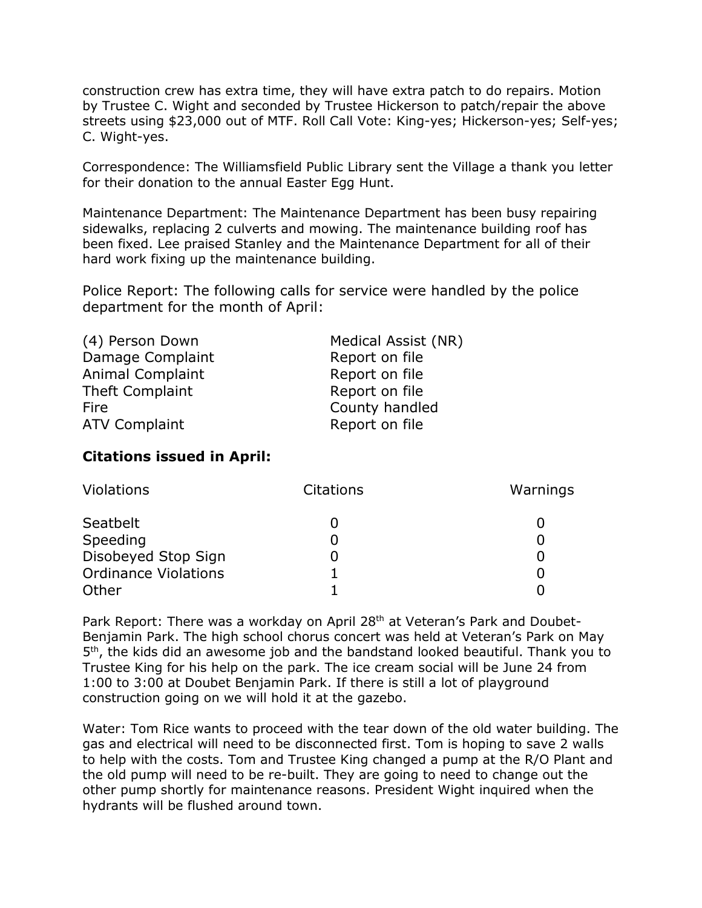construction crew has extra time, they will have extra patch to do repairs. Motion by Trustee C. Wight and seconded by Trustee Hickerson to patch/repair the above streets using \$23,000 out of MTF. Roll Call Vote: King-yes; Hickerson-yes; Self-yes; C. Wight-yes.

Correspondence: The Williamsfield Public Library sent the Village a thank you letter for their donation to the annual Easter Egg Hunt.

Maintenance Department: The Maintenance Department has been busy repairing sidewalks, replacing 2 culverts and mowing. The maintenance building roof has been fixed. Lee praised Stanley and the Maintenance Department for all of their hard work fixing up the maintenance building.

Police Report: The following calls for service were handled by the police department for the month of April:

| Medical Assist (NR) |  |  |
|---------------------|--|--|
| Report on file      |  |  |
| Report on file      |  |  |
| Report on file      |  |  |
| County handled      |  |  |
| Report on file      |  |  |
|                     |  |  |

# **Citations issued in April:**

| <b>Violations</b>           | <b>Citations</b> | Warnings |
|-----------------------------|------------------|----------|
| Seatbelt                    |                  |          |
| Speeding                    |                  |          |
| Disobeyed Stop Sign         |                  |          |
| <b>Ordinance Violations</b> |                  |          |
| Other                       |                  |          |

Park Report: There was a workday on April 28<sup>th</sup> at Veteran's Park and Doubet-Benjamin Park. The high school chorus concert was held at Veteran's Park on May 5<sup>th</sup>, the kids did an awesome job and the bandstand looked beautiful. Thank you to Trustee King for his help on the park. The ice cream social will be June 24 from 1:00 to 3:00 at Doubet Benjamin Park. If there is still a lot of playground construction going on we will hold it at the gazebo.

Water: Tom Rice wants to proceed with the tear down of the old water building. The gas and electrical will need to be disconnected first. Tom is hoping to save 2 walls to help with the costs. Tom and Trustee King changed a pump at the R/O Plant and the old pump will need to be re-built. They are going to need to change out the other pump shortly for maintenance reasons. President Wight inquired when the hydrants will be flushed around town.